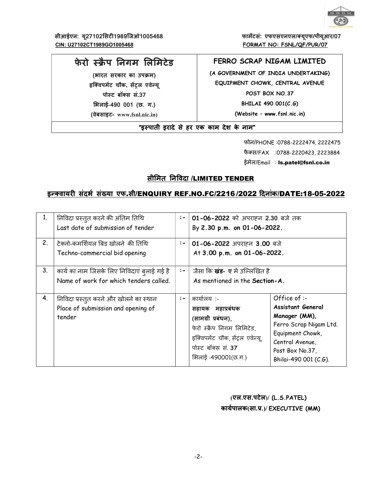

सीआईएन: यू27102सिटी1989जिओ1005468 CIN: U27102CT1989GO1005468

फार्मेटसं: एफएसएनएल/क्यूएफ/पीयूआर/07 FORMAT NO: FSNL/QF/PUR/07

# फेरो स्क्रैप निगम लिमिटेड

(भारत सरकार का उपक्रम) इक्विपमेंट चौक, सेंट्रल एवेन्य् पोस्ट बॉक्स सं.37 क्षिलाई-490 001 (छ. ग.) (वेबसाइट- www.fsnl.nic.in)

## FERRO SCRAP NIGAM LIMITED

(A GOVERNMENT OF INDIA UNDERTAKING) EQUIPMENT CHOWK, CENTRAL AVENUE POST BOX NO.37 BHILAI 490 001(C.G) (Website - www.fsnl.nic.in)

"इस्पाती इरादे से हर एक काम देश के नाम"

फोन/PHONE:0788-2222474, 2222475 फैक्स/FAX : 0788-2220423, 2223884 ईमेल/Email: Is.patel@fsnl.co.in

# सीमित निविदा /LIMITED TENDER

## इन्क्वायरी संदर्भ संख्या एफ.सी/ENQUIRY REF.NO.FC/2216/2022 दिनांक/DATE:18-05-2022

| 1. | निविदा प्रस्तुत करने की अंतिम तिथि<br>Last date of submission of tender                | $:-$         | 01-06-2022 को अपराहन 2.30 बजे तक<br>By 2.30 p.m. on 01-06-2022.                                                                                                      |                                                                                                                                                                        |
|----|----------------------------------------------------------------------------------------|--------------|----------------------------------------------------------------------------------------------------------------------------------------------------------------------|------------------------------------------------------------------------------------------------------------------------------------------------------------------------|
| 2. | टेक्नो-कमर्शियल बिड खोलने की तिथि<br>Techno-commercial bid opening                     | $:-$         | 01-06-2022 अपराहन 3.00 बजे<br>At 3.00 p.m. on 01-06-2022.                                                                                                            |                                                                                                                                                                        |
| 3. | कार्य का नाम जिसके लिए निविदाएं ब्लाई गई है<br>Name of work for which tenders called.  | $:-$         | जैसा कि <b>खंड- ए</b> में उल्लिखित है<br>As mentioned in the Section-A.                                                                                              |                                                                                                                                                                        |
| 4. | निविदा प्रस्तुत करने और खोलने का स्थान<br>Place of submission and opening of<br>tender | $\mathbf{I}$ | कार्यालय :-<br>सहायक महाप्रबंधक<br>(सामग्री प्रबंधन),<br>फेरो स्क्रैप निगम लिमिटेड,<br>इक्विपमेंट चौक, सेंट्रल एवेन्यू,<br>पोस्ट बॉक्स सं. 37<br>भिलाई -490001(छ.ग.) | Office of :-<br><b>Assistant General</b><br>Manager (MM),<br>Ferro Scrap Nigam Ltd.<br>Equipment Chowk,<br>Central Avenue,<br>Post Box No.37,<br>Bhilai-490 001 (C.G). |

(एल.एस.पटेल)/ (L.S.PATEL) कार्यपालक(सा.प्र.)/ EXECUTIVE (MM)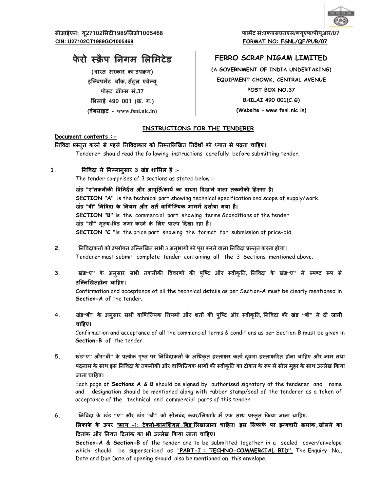

# फेरो स्क्रैप निगम लिमिटेड

(भारत सरकार का उपक्रम) इक्विपमेंट चौक, सेंट्रल एवेन्य् पोस्ट बॉक्स सं.37 ͧभलाई 490 001 (छ. ग.)

(वेबसाइट - www.fsnl.nic.in)

# FERRO SCRAP NIGAM LIMITED

(A GOVERNMENT OF INDIA UNDERTAKING) EQUIPMENT CHOWK, CENTRAL AVENUE POST BOX NO.37 BHILAI 490 001(C.G) (Website – www.fsnl.nic.in)

### INSTRUCTIONS FOR THE TENDERER

#### Document contents :-

#### निविदा प्रस्तुत करने से पहले निविदाकार को निम्नलिखित निर्देशों को ध्यान से पढ़ना चाहिए।

Tenderer should read the following instructions carefully before submitting tender.

1. निविदा में निम्नानुसार 3 खंड शामिल हैं :-

The tender comprises of 3 sections as stated below :-

खंड "ए"तकनीकी विनिर्देश और आपूर्ति/कार्य का दायरा दिखाने वाला तकनीकी हिस्सा है। SECTION "A" is the technical part showing technical specification and scope of supply/work. खंड "बी" निविदा के नियम और शर्तें वाणिज्यिक भागमें दर्शाया गया है। SECTION "B" is the commercial part showing terms &conditions of the tender. खंड "सी" मूल्य-बिड जमा करने के लिए प्रारूप दिखा रहा है। SECTION "C "is the price part showing the format for submission of price-bid.

- 2. निविदाकर्ता को उपरोक्त उल्लिखित सभी 3 अनुभागों को पूरा करने वाला निविदा प्रस्तुत करना होगा। Tenderer must submit complete tender containing all the 3 Sections mentioned above.
- 3. खंड"ए" के अनुसार सभी तकनीकी विवरणों की पुष्टि और स्वीकृति, निविदा के खंड"ए" में स्पष्ट रूप से उल्लिखितहोना चाहिए।

Confirmation and acceptance of all the technical details as per Section-A must be clearly mentioned in Section-A of the tender.

4. खंड"बी" के अनुसार सभी वाणिज्यिक नियमों और शर्तों की पुष्टि और स्वीकृति, निविदा की खंड "बी" में दी जानी चाहिए।

Confirmation and acceptance of all the commercial terms & conditions as per Section-B must be given in Section-B of the tender.

5. खंड"ए" और"बी" के प्रत्येक पृष्ठ पर निविदाकर्ता के अधिकृत हस्ताक्षर कर्ता द्वारा हस्ताक्षरित होना चाहिए और नाम तथा पदनाम के साथ इस निविदा के तकनीकी और वाणिज्यिक भागों की स्वीकृति का टोकन के रूप में सील मुहर के साथ उल्लेख किया जाना चाǑहए।

Each page of Sections A & B should be signed by authorised signatory of the tenderer and name and designation should be mentioned along with rubber stamp/seal of the tenderer as a token of acceptance of the technical and commercial parts of this tender.

6. निविदा के खंड "ए" और खंड "बी" को सीलबंद कवर/लिफाफे में एक साथ प्रस्तुत किया जाना चाहिए, लिफाफे के ऊपर <u>"भाग -1: टेक्नो-कामर्शियल बिड"</u>लिखाजाना चाहिए। इस लिफाफे पर इन्क्वारी क्रमांक,खोलने का दिनांक और नियत दिनांक का भी उल्लेख किया जाना चाहिए।

Section-A & Section-B of the tender are to be submitted together in a sealed cover/envelope which should be superscribed as "PART-I : TECHNO-COMMERCIAL BID". The Enquiry No., Date and Due Date of opening should also be mentioned on this envelope.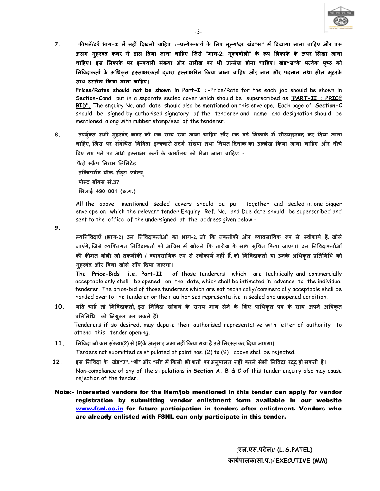

 $\overline{7}$ . <u>कीमतें/दरें भाग-1 में नहीं दिखनी चाहिए :-</u>प्रत्येककार्य के लिए मूल्य/दर खंड स' में दिखाया जाना चाहिए और एक अलग महरबंद कवर में डाल दिया जाना चाहिए जिसे "भाग-2: मुल्यबोली" के रूप लिफाफे के ऊपर लिखा जाना चाहिए। इस लिफाफे पर इन्क्वारी संख्या और तारीख का भी उल्लेख होना चाहिए। खंड"स"के प्रत्येक पृष्ठ को निविदाकर्ता के अधिकृत हस्ताक्षरकर्ता दवारा हस्ताक्षरित किया जाना चाहिए और नाम और पदनाम तथा सील महरके साथ उल्लेख किया जाना चाहिए।

Prices/Rates should not be shown in Part-I :-Price/Rate for the each job should be shown in Section-Cand put in a separate sealed cover which should be superscribed as "PART-II : PRICE BID". The enquiry No. and date should also be mentioned on this envelope. Each page of Section-C should be signed by authorised signatory of the tenderer and name and designation should be mentioned along with rubber stamp/seal of the tenderer.

उपर्युक्त सभी महरबंद कवर को एक साथ रखा जाना चाहिए और एक बड़े लिफाफे में सीलमहरबंद कर दिया जाना 8. चाहिए, जिस पर संबंधित निविदा इन्क्वारी संदर्भ संख्या तथा नियत दिनांक का उल्लेख किया जाना चाहिए और नीचे दिए गए पते पर अधो हस्ताक्षर कर्ता के कार्यालय को भेजा जाना चाहिए: -

फैरो स्क्रैप निगम लिमिटेड इक्विपमेंट चौक, सेंट्रल एवेन्यू पोस्ट बॉक्स सं.37 भिलाई 490 001 (छ.ग.)

All the above mentioned sealed covers should be put together and sealed in one bigger envelope on which the relevant tender Enguiry Ref. No. and Due date should be superscribed and sent to the office of the undersigned at the address given below:-

9.

ल्यनिविदाएँ (भाग-2) उन निविदाकर्ताओं का भाग-2, जो कि तकनीकी और व्यावसायिक रूप से स्वीकार्य हैं, खोले जाएंगे, जिसे व्यक्तिगत निविदाकर्ता को अग्रिम में खोलने कि तारीख के साथ सचित किया जाएगा। उन निविदाकर्ताओं की कीमत बोली जो तकनीकी / व्यावसायिक रूप से स्वीकार्य नहीं हैं, को निविदाकर्ता या उनके अधिकृत प्रतिनिधि को महरबंद और बिना खोले सौंप दिया जाएगा।

The Price-Bids i.e. Part-II of those tenderers which are technically and commercially acceptable only shall be opened on the date, which shall be intimated in advance to the individual tenderer. The price-bid of those tenderers which are not technically/commercially acceptable shall be handed over to the tenderer or their authorised representative in sealed and unopened condition.

यदि चाहें तो निविदाकर्ता, इस निविदा खोलने के समय भाग लेने के लिए प्राधिकृत पत्र के साथ अपने अधिकृत  $10<sub>1</sub>$ प्रतिनिधि को नियुक्त कर सकते हैं।

Tenderers if so desired, may depute their authorised representative with letter of authority to attend this tender opening.

- निविदा जो क्रम संख्या(2) से (9)के अनुसार जमा नहीं किया गया है उसे निरस्त कर दिया जाएगा।  $11.$ Tenders not submitted as stipulated at point nos. (2) to (9) above shall be rejected.
- इस निविदा के खंड"ए", "बी" और "सी" में किसी भी शर्तों का अनपालन नहीं करने सेभी निविदा रदद हो सकती है।  $12.$ Non-compliance of any of the stipulations in Section A,  $B & C$  of this tender enguiry also may cause rejection of the tender.
- Note:- Interested vendors for the item/job mentioned in this tender can apply for vendor registration by submitting vendor enlistment form available in our website www.fsnl.co.in for future participation in tenders after enlistment. Vendors who are already enlisted with FSNL can only participate in this tender.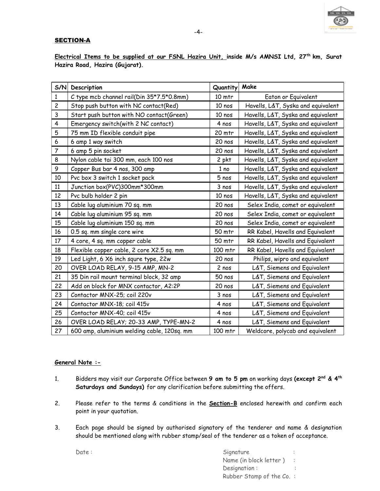

## **SECTION-A**

Electrical Items to be supplied at our FSNL Hazira Unit, inside M/s AMNSI Ltd, 27<sup>th</sup> km, Surat Hazira Road, Hazira (Gujarat).

| S/N                     | Description                                 | Quantity | Make                               |
|-------------------------|---------------------------------------------|----------|------------------------------------|
| $\mathbf{1}$            | C type mcb channel rail(Din 35*7.5*0.8mm)   | 10 mtr   | Eaton or Equivalent                |
| $\overline{c}$          | Stop push button with NC contact(Red)       | 10 nos   | Havells, L&T, Syska and equivalent |
| $\mathbf{3}$            | Start push button with NO contact(Green)    | 10 nos   | Havells, L&T, Syska and equivalent |
| $\overline{\mathbf{4}}$ | Emergency switch(with 2 NC contact)         | 4 nos    | Havells, L&T, Syska and equivalent |
| 5                       | 75 mm ID flexible conduit pipe              | 20 mtr   | Havells, L&T, Syska and equivalent |
| $\boldsymbol{6}$        | 6 amp 1 way switch                          | 20 nos   | Havells, L&T, Syska and equivalent |
| $\overline{7}$          | 6 amp 5 pin socket                          | 20 nos   | Havells, L&T, Syska and equivalent |
| 8                       | Nylon cable tai 300 mm, each 100 nos        | 2 pkt    | Havells, L&T, Syska and equivalent |
| 9                       | Copper Bus bar 4 nos, 300 amp               | 1 no     | Havells, L&T, Syska and equivalent |
| 10                      | Pvc box 3 switch 1 socket pack              | 5 nos    | Havells, L&T, Syska and equivalent |
| 11                      | Junction box(PVC)300mm*300mm                | 3 nos    | Havells, L&T, Syska and equivalent |
| 12                      | Pvc bulb holder 2 pin                       | 10 nos   | Havells, L&T, Syska and equivalent |
| 13                      | Cable lug aluminium 70 sq. mm               | 20 nos   | Selex India, comet or equivalent   |
| 14                      | Cable lug aluminium 95 sq. mm               | 20 nos   | Selex India, comet or equivalent   |
| 15                      | Cable lug aluminium 150 sq. mm              | 20 nos   | Selex India, comet or equivalent   |
| 16                      | 0.5 sq. mm single core wire                 | 50 mtr   | RR Kabel, Havells and Equivalent   |
| 17                      | 4 core, 4 sq. mm copper cable               | 50 mtr   | RR Kabel, Havells and Equivalent   |
| 18                      | Flexible copper cable, 2 core X2.5 sq. mm   | 100 mtr  | RR Kabel, Havells and Equivalent   |
| 19                      | Led Light, 6 X6 inch squre type, 22w        | 20 nos   | Philips, wipro and equivalent      |
| 20                      | OVER LOAD RELAY, 9-15 AMP, MN-2             | 2 nos    | L&T, Siemens and Equivalent        |
| 21                      | 35 Din rail mount terminal block, 32 amp    | 50 nos   | L&T, Siemens and Equivalent        |
| 22                      | Add on block for MNX contactor, A2:2P       | 20 nos   | L&T, Siemens and Equivalent        |
| 23                      | Contactor MNX-25; coil 220v                 | 3 nos    | L&T, Siemens and Equivalent        |
| 24                      | Contactor MNX-18; coil 415v                 | 4 nos    | L&T, Siemens and Equivalent        |
| 25                      | Contactor MNX-40; coil 415v                 | 4 nos    | L&T, Siemens and Equivalent        |
| 26                      | OVER LOAD RELAY; 20-33 AMP, TYPE-MN-2       | 4 nos    | L&T, Siemens and Equivalent        |
| 27                      | 600 amp, aluminium welding cable, 120sq. mm | 100 mtr  | Weldcore, polycab and equivalent   |

### General Note :-

- 1. Bidders may visit our Corporate Office between 9 am to 5 pm on working days (except 2<sup>nd</sup> & 4<sup>th</sup> Saturdays and Sundays) for any clarification before submitting the offers.
- 2. Please refer to the terms & conditions in the **Section-B** enclosed herewith and confirm each point in your quotation.
- 3. Each page should be signed by authorised signatory of the tenderer and name & designation should be mentioned along with rubber stamp/seal of the tenderer as a token of acceptance.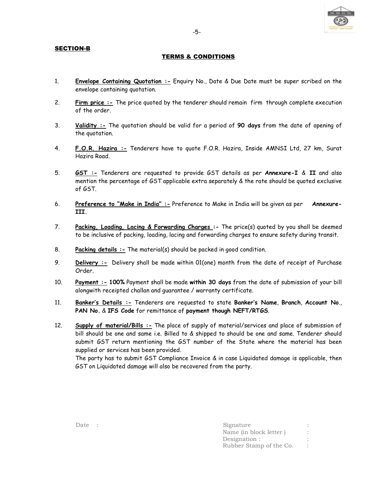#### SECTION-B

#### TERMS & CONDITIONS

- 1. Envelope Containing Quotation :- Enquiry No., Date & Due Date must be super scribed on the envelope containing quotation.
- 2. Firm price :- The price quoted by the tenderer should remain firm through complete execution of the order.
- 3. Validity :- The quotation should be valid for a period of 90 days from the date of opening of the quotation.
- 4. F.O.R. Hazira :- Tenderers have to quote F.O.R. Hazira, Inside AMNSI Ltd, 27 km, Surat Hazira Road.
- 5. **GST :** Tenderers are requested to provide GST details as per **Annexure-I** & II and also mention the percentage of GST applicable extra separately & the rate should be quoted exclusive of GST.
- 6. Preference to "Make in India" :- Preference to Make in India will be given as per Annexure-III.
- 7. Packing, Loading, Lacing & Forwarding Charges :- The price(s) quoted by you shall be deemed to be inclusive of packing, loading, lacing and forwarding charges to ensure safety during transit.
- 8. Packing details :- The material(s) should be packed in good condition.
- 9. Delivery :- Delivery shall be made within 01(one) month from the date of receipt of Purchase Order.
- 10. Payment :- 100% Payment shall be made within 30 days from the date of submission of your bill alongwith receipted challan and guarantee / warranty certificate.
- 11. Banker's Details :- Tenderers are requested to state Banker's Name, Branch, Account No., PAN No. & IFS Code for remittance of payment though NEFT/RTGS.
- 12. Supply of material/Bills :- The place of supply of material/services and place of submission of bill should be one and same i.e. Billed to & shipped to should be one and same. Tenderer should submit GST return mentioning the GST number of the State where the material has been supplied or services has been provided.

The party has to submit GST Compliance Invoice & in case Liquidated damage is applicable, then GST on Liquidated damage will also be recovered from the party.

| Date : | Signature               |  |
|--------|-------------------------|--|
|        | Name (in block letter)  |  |
|        | Designation :           |  |
|        | Rubber Stamp of the Co. |  |



-5- процесс в половина в село в село в село в село в село в село в село в село в село в село в село в село в с<br>Село в село в село в село в село в село в село в село в село в село в село в село в село в село в село в село

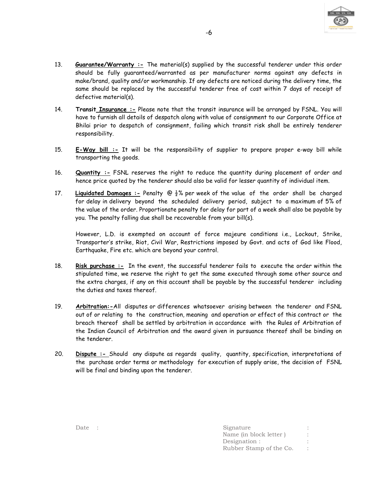

- 13. Guarantee/Warranty :- The material(s) supplied by the successful tenderer under this order should be fully guaranteed/warranted as per manufacturer norms against any defects in make/brand, quality and/or workmanship. If any defects are noticed during the delivery time, the same should be replaced by the successful tenderer free of cost within 7 days of receipt of defective material(s).
- 14. Transit Insurance :- Please note that the transit insurance will be arranged by FSNL. You will have to furnish all details of despatch along with value of consignment to our Corporate Office at Bhilai prior to despatch of consignment, failing which transit risk shall be entirely tenderer responsibility.
- 15. E-Way bill :- It will be the responsibility of supplier to prepare proper e-way bill while transporting the goods.
- 16. **Quantity :** FSNL reserves the right to reduce the quantity during placement of order and hence price quoted by the tenderer should also be valid for lesser quantity of individual item.
- 17. Liquidated Damages :- Penalty  $\mathcal{Q} \frac{1}{2}$ % per week of the value of the order shall be charged for delay in delivery beyond the scheduled delivery period, subject to a maximum of 5% of the value of the order. Proportionate penalty for delay for part of a week shall also be payable by you. The penalty falling due shall be recoverable from your bill(s).

However, L.D. is exempted on account of force majeure conditions i.e., Lockout, Strike, Transporter's strike, Riot, Civil War, Restrictions imposed by Govt. and acts of God like Flood, Earthquake, Fire etc. which are beyond your control.

- 18. Risk purchase :- In the event, the successful tenderer fails to execute the order within the stipulated time, we reserve the right to get the same executed through some other source and the extra charges, if any on this account shall be payable by the successful tenderer including the duties and taxes thereof.
- 19. Arbitration:-All disputes or differences whatsoever arising between the tenderer and FSNL out of or relating to the construction, meaning and operation or effect of this contract or the breach thereof shall be settled by arbitration in accordance with the Rules of Arbitration of the Indian Council of Arbitration and the award given in pursuance thereof shall be binding on the tenderer.
- 20. Dispute :- Should any dispute as regards quality, quantity, specification, interpretations of the purchase order terms or methodology for execution of supply arise, the decision of FSNL will be final and binding upon the tenderer.

| Date : | Signature               |  |
|--------|-------------------------|--|
|        | Name (in block letter)  |  |
|        | Designation :           |  |
|        | Rubber Stamp of the Co. |  |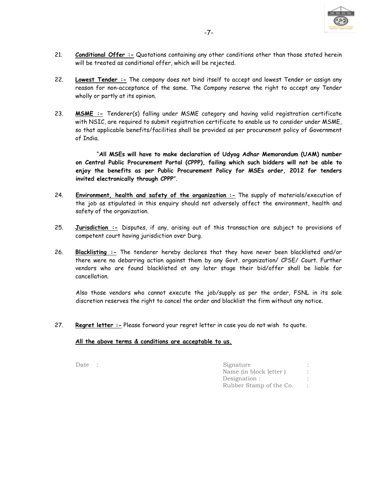

- 21. Conditional Offer :- Quotations containing any other conditions other than those stated herein will be treated as conditional offer, which will be rejected.
- 22. Lowest Tender :- The company does not bind itself to accept and lowest Tender or assign any reason for non-acceptance of the same. The Company reserve the right to accept any Tender wholly or partly at its opinion.
- 23. **MSME :-** Tenderer(s) falling under MSME category and having valid registration certificate with NSIC, are required to submit registration certificate to enable us to consider under MSME, so that applicable benefits/facilities shall be provided as per procurement policy of Government of India.

 "All MSEs will have to make declaration of Udyog Adhar Memorandum (UAM) number on Central Public Procurement Portal (CPPP), failing which such bidders will not be able to enjoy the benefits as per Public Procurement Policy for MSEs order, 2012 for tenders invited electronically through CPPP".

- 24. Environment, health and safety of the organization :- The supply of materials/execution of the job as stipulated in this enquiry should not adversely affect the environment, health and safety of the organization.
- 25. Jurisdiction :- Disputes, if any, arising out of this transaction are subject to provisions of competent court having jurisdiction over Durg.
- 26. Blacklisting :- The tenderer hereby declares that they have never been blacklisted and/or there were no debarring action against them by any Govt. organization/ CPSE/ Court. Further vendors who are found blacklisted at any later stage their bid/offer shall be liable for cancellation.

Also those vendors who cannot execute the job/supply as per the order, FSNL in its sole discretion reserves the right to cancel the order and blacklist the firm without any notice.

27. Regret letter :- Please forward your regret letter in case you do not wish to quote.

#### All the above terms & conditions are acceptable to us.

Date : Signature : Name (in block letter ) : Designation : Rubber Stamp of the Co. :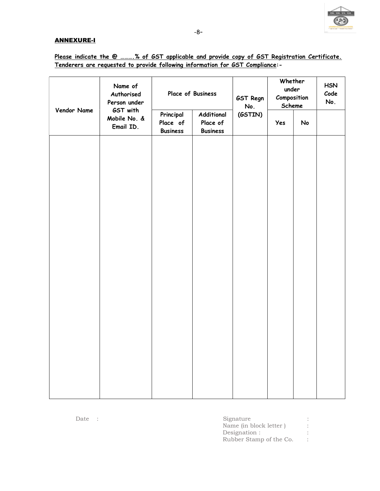

## ANNEXURE-I

| Name of<br>Authorised<br>Person under |                           | Place of Business                                                                                 |  | GST Regn<br>No. | Whether<br>under<br>Composition<br>Scheme |    | <b>HSN</b><br>Code<br>No. |
|---------------------------------------|---------------------------|---------------------------------------------------------------------------------------------------|--|-----------------|-------------------------------------------|----|---------------------------|
| Vendor Name                           | Mobile No. &<br>Email ID. | GST with<br>Principal<br>Additional<br>Place of<br>Place of<br><b>Business</b><br><b>Business</b> |  | (GSTIN)<br>Yes  |                                           | No |                           |
|                                       |                           |                                                                                                   |  |                 |                                           |    |                           |
|                                       |                           |                                                                                                   |  |                 |                                           |    |                           |
|                                       |                           |                                                                                                   |  |                 |                                           |    |                           |
|                                       |                           |                                                                                                   |  |                 |                                           |    |                           |
|                                       |                           |                                                                                                   |  |                 |                                           |    |                           |
|                                       |                           |                                                                                                   |  |                 |                                           |    |                           |
|                                       |                           |                                                                                                   |  |                 |                                           |    |                           |
|                                       |                           |                                                                                                   |  |                 |                                           |    |                           |
|                                       |                           |                                                                                                   |  |                 |                                           |    |                           |
|                                       |                           |                                                                                                   |  |                 |                                           |    |                           |

Please indicate the @ ..........% of GST applicable and provide copy of GST Registration Certificate. Tenderers are requested to provide following information for GST Compliance:-

| Date | Signature               |  |
|------|-------------------------|--|
|      | Name (in block letter)  |  |
|      | Designation :           |  |
|      | Rubber Stamp of the Co. |  |

Date :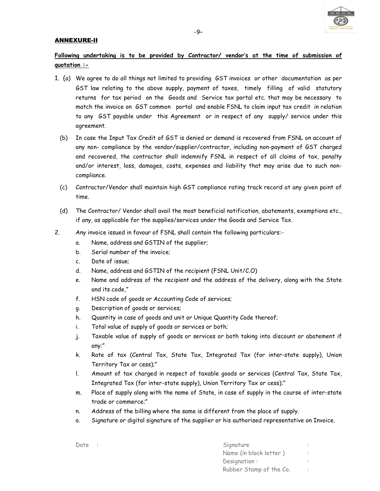

#### ANNEXURE-II

# Following undertaking is to be provided by Contractor/ vendor's at the time of submission of quotation :-

- 1. (a) We agree to do all things not limited to providing GST invoices or other documentation as per GST law relating to the above supply, payment of taxes, timely filling of valid statutory returns for tax period on the Goods and Service tax portal etc. that may be necessary to match the invoice on GST common portal and enable FSNL to claim input tax credit in relation to any GST payable under this Agreement or in respect of any supply/ service under this agreement.
	- (b) In case the Input Tax Credit of GST is denied or demand is recovered from FSNL on account of any non- compliance by the vendor/supplier/contractor, including non-payment of GST charged and recovered, the contractor shall indemnify FSNL in respect of all claims of tax, penalty and/or interest, loss, damages, costs, expenses and liability that may arise due to such noncompliance.
	- (c) Contractor/Vendor shall maintain high GST compliance rating track record at any given point of time.
	- (d) The Contractor/ Vendor shall avail the most beneficial notification, abatements, exemptions etc., if any, as applicable for the supplies/services under the Goods and Service Tax.
- 2. Any invoice issued in favour of FSNL shall contain the following particulars:
	- a. Name, address and GSTIN of the supplier;
	- b. Serial number of the invoice;
	- c. Date of issue;
	- d. Name, address and GSTIN of the recipient (FSNL Unit/C.O)
	- e. Name and address of the recipient and the address of the delivery, along with the State and its code,"
	- f. HSN code of goods or Accounting Code of services;
	- g. Description of goods or services;
	- h. Quantity in case of goods and unit or Unique Quantity Code thereof;
	- i. Total value of supply of goods or services or both;
	- j. Taxable value of supply of goods or services or both taking into discount or abatement if any;"
	- k. Rate of tax (Central Tax, State Tax, Integrated Tax (for inter-state supply), Union Territory Tax or cess);"
	- l. Amount of tax charged in respect of taxable goods or services (Central Tax, State Tax, Integrated Tax (for inter-state supply), Union Territory Tax or cess);"
	- m. Place of supply along with the name of State, in case of supply in the course of inter-state trade or commerce;"
	- n. Address of the billing where the same is different from the place of supply.
	- o. Signature or digital signature of the supplier or his authorised representative on Invoice.

| Date : | Signature               |  |
|--------|-------------------------|--|
|        | Name (in block letter)  |  |
|        | Designation:            |  |
|        | Rubber Stamp of the Co. |  |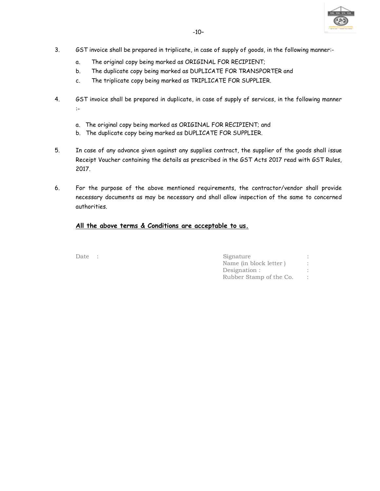

- 3. GST invoice shall be prepared in triplicate, in case of supply of goods, in the following manner:
	- a. The original copy being marked as ORIGINAL FOR RECIPIENT;
	- b. The duplicate copy being marked as DUPLICATE FOR TRANSPORTER and
	- c. The triplicate copy being marked as TRIPLICATE FOR SUPPLIER.
- 4. GST invoice shall be prepared in duplicate, in case of supply of services, in the following manner :
	- a. The original copy being marked as ORIGINAL FOR RECIPIENT; and
	- b. The duplicate copy being marked as DUPLICATE FOR SUPPLIER.
- 5. In case of any advance given against any supplies contract, the supplier of the goods shall issue Receipt Voucher containing the details as prescribed in the GST Acts 2017 read with GST Rules, 2017.
- 6. For the purpose of the above mentioned requirements, the contractor/vendor shall provide necessary documents as may be necessary and shall allow inspection of the same to concerned authorities.

## All the above terms & Conditions are acceptable to us.

| Date $\therefore$ | Signature               |  |
|-------------------|-------------------------|--|
|                   | Name (in block letter)  |  |
|                   | Designation :           |  |
|                   | Rubber Stamp of the Co. |  |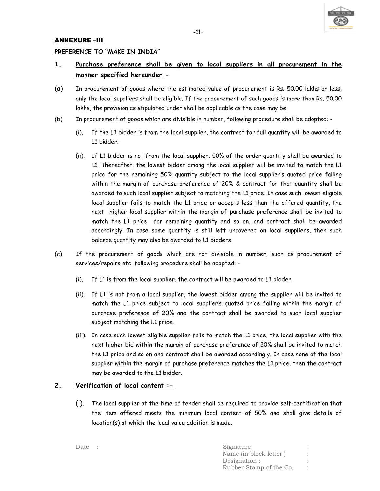

#### ANNEXURE –III

#### PREFERENCE TO "MAKE IN INDIA"

# 1. Purchase preference shall be given to local suppliers in all procurement in the manner specified hereunder: -

- (a) In procurement of goods where the estimated value of procurement is Rs. 50.00 lakhs or less, only the local suppliers shall be eligible. If the procurement of such goods is more than Rs. 50.00 lakhs, the provision as stipulated under shall be applicable as the case may be.
- (b) In procurement of goods which are divisible in number, following procedure shall be adopted:
	- (i). If the L1 bidder is from the local supplier, the contract for full quantity will be awarded to L1 bidder.
	- (ii). If L1 bidder is not from the local supplier, 50% of the order quantity shall be awarded to L1. Thereafter, the lowest bidder among the local supplier will be invited to match the L1 price for the remaining 50% quantity subject to the local supplier's quoted price falling within the margin of purchase preference of 20% & contract for that quantity shall be awarded to such local supplier subject to matching the L1 price. In case such lowest eligible local supplier fails to match the L1 price or accepts less than the offered quantity, the next higher local supplier within the margin of purchase preference shall be invited to match the L1 price for remaining quantity and so on, and contract shall be awarded accordingly. In case some quantity is still left uncovered on local suppliers, then such balance quantity may also be awarded to L1 bidders.
- (c) If the procurement of goods which are not divisible in number, such as procurement of services/repairs etc. following procedure shall be adopted: -
	- (i). If L1 is from the local supplier, the contract will be awarded to L1 bidder.
	- (ii). If L1 is not from a local supplier, the lowest bidder among the supplier will be invited to match the L1 price subject to local supplier's quoted price falling within the margin of purchase preference of 20% and the contract shall be awarded to such local supplier subject matching the L1 price.
	- (iii). In case such lowest eligible supplier fails to match the L1 price, the local supplier with the next higher bid within the margin of purchase preference of 20% shall be invited to match the L1 price and so on and contract shall be awarded accordingly. In case none of the local supplier within the margin of purchase preference matches the L1 price, then the contract may be awarded to the L1 bidder.

## 2. Verification of local content :-

(i). The local supplier at the time of tender shall be required to provide self-certification that the item offered meets the minimum local content of 50% and shall give details of location(s) at which the local value addition is made.

| Date : | Signature               |  |
|--------|-------------------------|--|
|        | Name (in block letter)  |  |
|        | Designation :           |  |
|        | Rubber Stamp of the Co. |  |
|        |                         |  |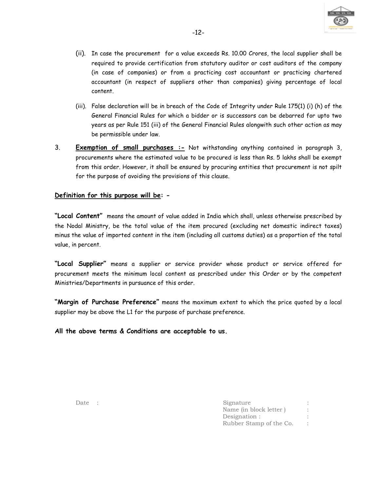

- (ii). In case the procurement for a value exceeds Rs. 10.00 Crores, the local supplier shall be required to provide certification from statutory auditor or cost auditors of the company (in case of companies) or from a practicing cost accountant or practicing chartered accountant (in respect of suppliers other than companies) giving percentage of local content.
- (iii). False declaration will be in breach of the Code of Integrity under Rule 175(1) (i) (h) of the General Financial Rules for which a bidder or is successors can be debarred for upto two years as per Rule 151 (iii) of the General Financial Rules alongwith such other action as may be permissible under law.
- 3. Exemption of small purchases :- Not withstanding anything contained in paragraph 3, procurements where the estimated value to be procured is less than Rs. 5 lakhs shall be exempt from this order. However, it shall be ensured by procuring entities that procurement is not spilt for the purpose of avoiding the provisions of this clause.

#### Definition for this purpose will be: -

"Local Content" means the amount of value added in India which shall, unless otherwise prescribed by the Nodal Ministry, be the total value of the item procured (excluding net domestic indirect taxes) minus the value of imported content in the item (including all customs duties) as a proportion of the total value, in percent.

"Local Supplier" means a supplier or service provider whose product or service offered for procurement meets the minimum local content as prescribed under this Order or by the competent Ministries/Departments in pursuance of this order.

"Margin of Purchase Preference" means the maximum extent to which the price quoted by a local supplier may be above the L1 for the purpose of purchase preference.

All the above terms & Conditions are acceptable to us.

| Date $\therefore$ | Signature               |  |
|-------------------|-------------------------|--|
|                   | Name (in block letter)  |  |
|                   | Designation :           |  |
|                   | Rubber Stamp of the Co. |  |